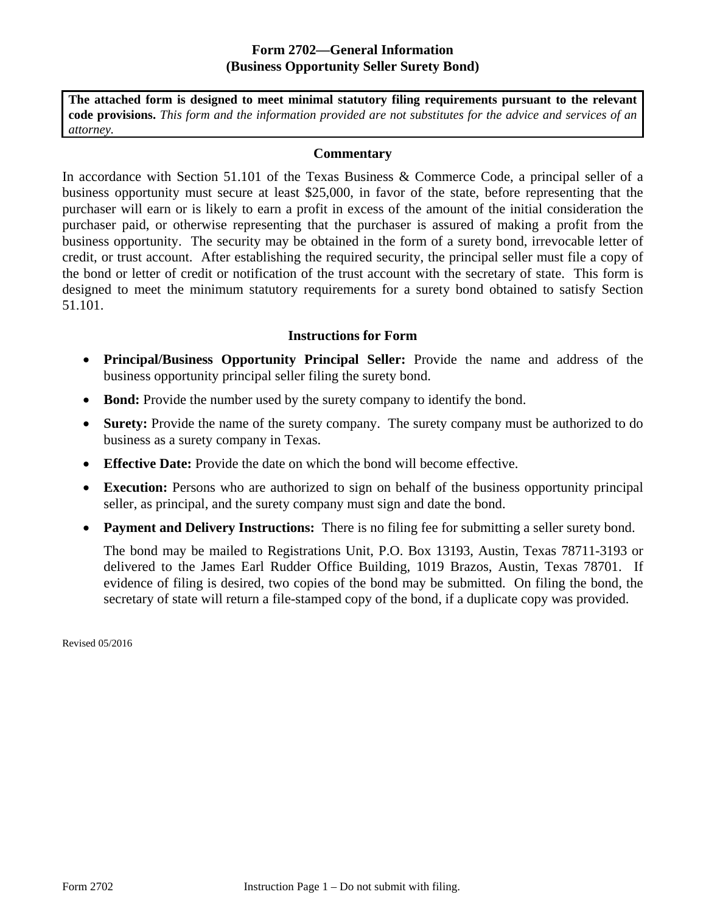## **Form 2702—General Information (Business Opportunity Seller Surety Bond)**

**The attached form is designed to meet minimal statutory filing requirements pursuant to the relevant code provisions.** *This form and the information provided are not substitutes for the advice and services of an attorney.* 

## **Commentary**

In accordance with Section 51.101 of the Texas Business & Commerce Code, a principal seller of a business opportunity must secure at least \$25,000, in favor of the state, before representing that the purchaser will earn or is likely to earn a profit in excess of the amount of the initial consideration the purchaser paid, or otherwise representing that the purchaser is assured of making a profit from the business opportunity. The security may be obtained in the form of a surety bond, irrevocable letter of credit, or trust account. After establishing the required security, the principal seller must file a copy of the bond or letter of credit or notification of the trust account with the secretary of state. This form is designed to meet the minimum statutory requirements for a surety bond obtained to satisfy Section 51.101.

## **Instructions for Form**

- **Principal/Business Opportunity Principal Seller:** Provide the name and address of the business opportunity principal seller filing the surety bond.
- Bond: Provide the number used by the surety company to identify the bond.
- **Surety:** Provide the name of the surety company. The surety company must be authorized to do business as a surety company in Texas.
- **Effective Date:** Provide the date on which the bond will become effective.
- **Execution:** Persons who are authorized to sign on behalf of the business opportunity principal seller, as principal, and the surety company must sign and date the bond.
- **Payment and Delivery Instructions:** There is no filing fee for submitting a seller surety bond.

The bond may be mailed to Registrations Unit, P.O. Box 13193, Austin, Texas 78711-3193 or delivered to the James Earl Rudder Office Building, 1019 Brazos, Austin, Texas 78701. If evidence of filing is desired, two copies of the bond may be submitted. On filing the bond, the secretary of state will return a file-stamped copy of the bond, if a duplicate copy was provided.

Revised 05/2016